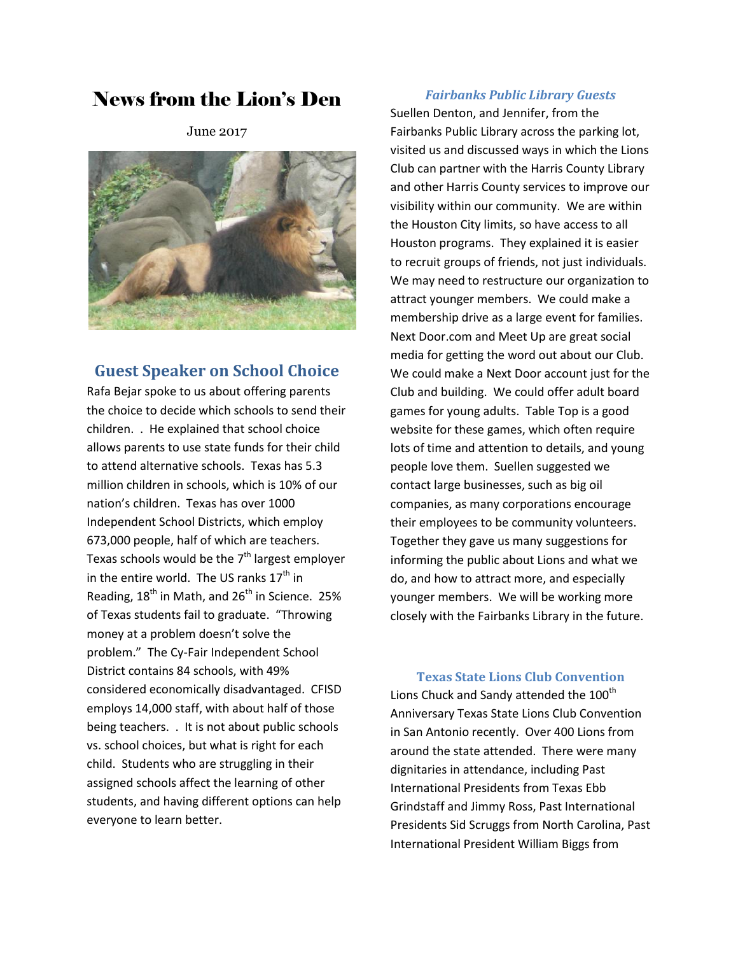# News from the Lion's Den

June 2017



### **Guest Speaker on School Choice**

Rafa Bejar spoke to us about offering parents the choice to decide which schools to send their children. . He explained that school choice allows parents to use state funds for their child to attend alternative schools. Texas has 5.3 million children in schools, which is 10% of our nation's children. Texas has over 1000 Independent School Districts, which employ 673,000 people, half of which are teachers. Texas schools would be the 7<sup>th</sup> largest employer in the entire world. The US ranks  $17<sup>th</sup>$  in Reading,  $18<sup>th</sup>$  in Math, and  $26<sup>th</sup>$  in Science. 25% of Texas students fail to graduate. "Throwing money at a problem doesn't solve the problem." The Cy-Fair Independent School District contains 84 schools, with 49% considered economically disadvantaged. CFISD employs 14,000 staff, with about half of those being teachers. . It is not about public schools vs. school choices, but what is right for each child. Students who are struggling in their assigned schools affect the learning of other students, and having different options can help everyone to learn better.

#### *Fairbanks Public Library Guests*

Suellen Denton, and Jennifer, from the Fairbanks Public Library across the parking lot, visited us and discussed ways in which the Lions Club can partner with the Harris County Library and other Harris County services to improve our visibility within our community. We are within the Houston City limits, so have access to all Houston programs. They explained it is easier to recruit groups of friends, not just individuals. We may need to restructure our organization to attract younger members. We could make a membership drive as a large event for families. Next Door.com and Meet Up are great social media for getting the word out about our Club. We could make a Next Door account just for the Club and building. We could offer adult board games for young adults. Table Top is a good website for these games, which often require lots of time and attention to details, and young people love them. Suellen suggested we contact large businesses, such as big oil companies, as many corporations encourage their employees to be community volunteers. Together they gave us many suggestions for informing the public about Lions and what we do, and how to attract more, and especially younger members. We will be working more closely with the Fairbanks Library in the future.

#### **Texas State Lions Club Convention**

Lions Chuck and Sandy attended the 100<sup>th</sup> Anniversary Texas State Lions Club Convention in San Antonio recently. Over 400 Lions from around the state attended. There were many dignitaries in attendance, including Past International Presidents from Texas Ebb Grindstaff and Jimmy Ross, Past International Presidents Sid Scruggs from North Carolina, Past International President William Biggs from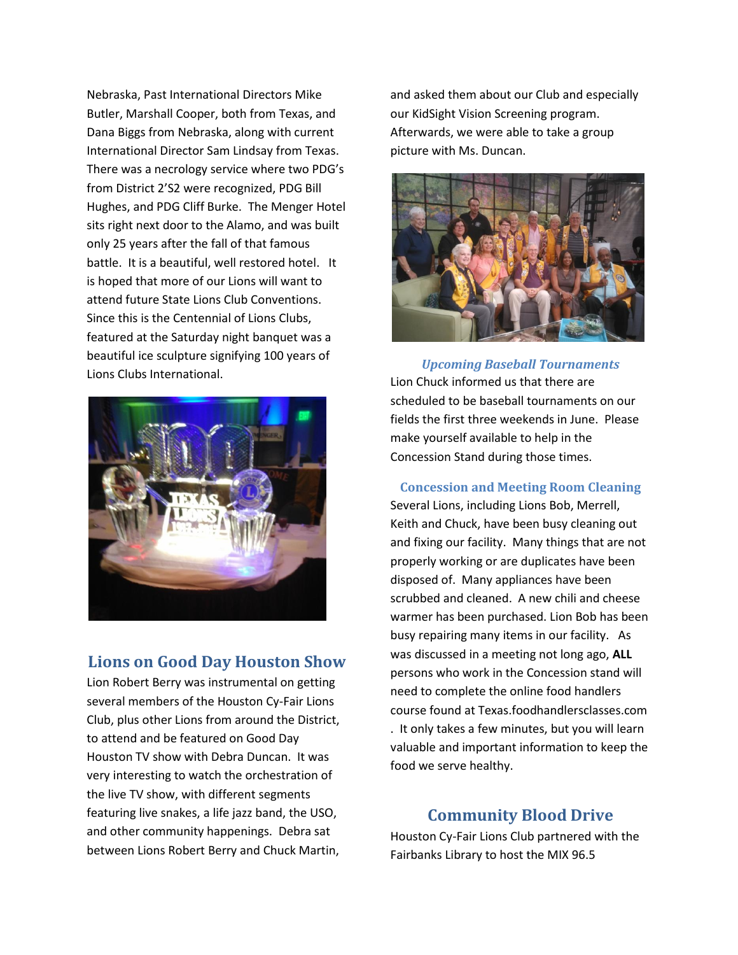Nebraska, Past International Directors Mike Butler, Marshall Cooper, both from Texas, and Dana Biggs from Nebraska, along with current International Director Sam Lindsay from Texas. There was a necrology service where two PDG's from District 2'S2 were recognized, PDG Bill Hughes, and PDG Cliff Burke. The Menger Hotel sits right next door to the Alamo, and was built only 25 years after the fall of that famous battle. It is a beautiful, well restored hotel. It is hoped that more of our Lions will want to attend future State Lions Club Conventions. Since this is the Centennial of Lions Clubs, featured at the Saturday night banquet was a beautiful ice sculpture signifying 100 years of Lions Clubs International.



### **Lions on Good Day Houston Show**

Lion Robert Berry was instrumental on getting several members of the Houston Cy-Fair Lions Club, plus other Lions from around the District, to attend and be featured on Good Day Houston TV show with Debra Duncan. It was very interesting to watch the orchestration of the live TV show, with different segments featuring live snakes, a life jazz band, the USO, and other community happenings. Debra sat between Lions Robert Berry and Chuck Martin,

and asked them about our Club and especially our KidSight Vision Screening program. Afterwards, we were able to take a group picture with Ms. Duncan.



*Upcoming Baseball Tournaments* Lion Chuck informed us that there are scheduled to be baseball tournaments on our fields the first three weekends in June. Please make yourself available to help in the Concession Stand during those times.

**Concession and Meeting Room Cleaning** Several Lions, including Lions Bob, Merrell, Keith and Chuck, have been busy cleaning out and fixing our facility. Many things that are not properly working or are duplicates have been disposed of. Many appliances have been scrubbed and cleaned. A new chili and cheese warmer has been purchased. Lion Bob has been busy repairing many items in our facility. As was discussed in a meeting not long ago, **ALL** persons who work in the Concession stand will need to complete the online food handlers course found at Texas.foodhandlersclasses.com . It only takes a few minutes, but you will learn valuable and important information to keep the food we serve healthy.

#### **Community Blood Drive**

Houston Cy-Fair Lions Club partnered with the Fairbanks Library to host the MIX 96.5